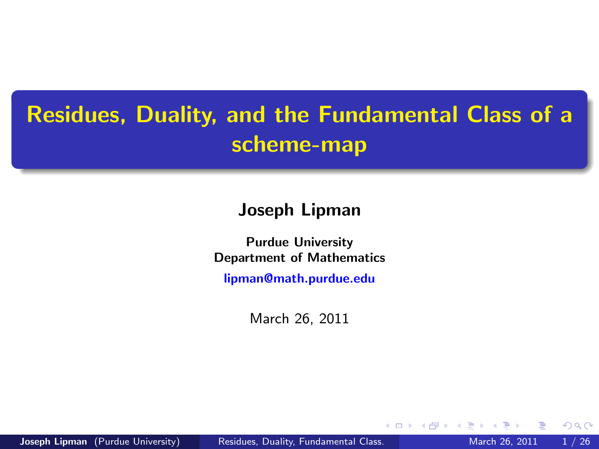# Residues, Duality, and the Fundamental Class of a scheme-map

#### Joseph Lipman

Purdue University Department of Mathematics [lipman@math.purdue.edu](mailto:lipman@math.purdue.edu)

<span id="page-0-0"></span>March 26, 2011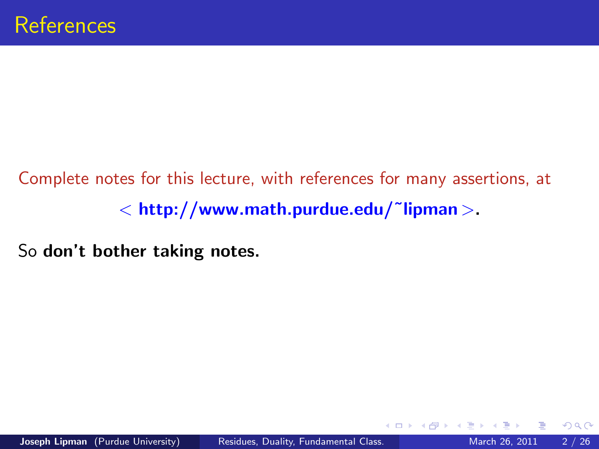# Complete notes for this lecture, with references for many assertions, at  $<$  http://www.math.purdue.edu/~lipman  $>$ .

So don't bother taking notes.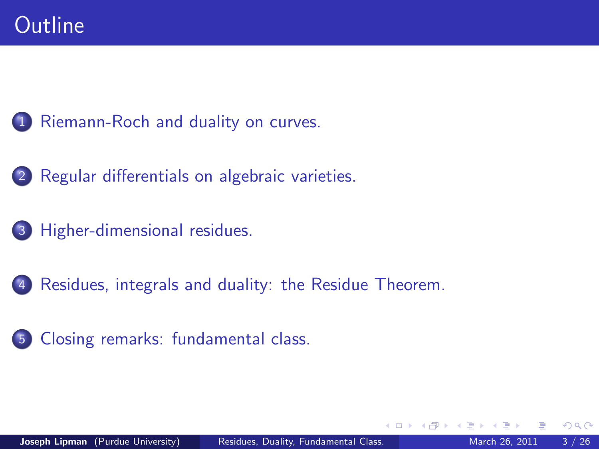

- [Regular differentials on algebraic varieties.](#page-13-0)
- [Higher-dimensional residues.](#page-18-0)
- [Residues, integrals and duality: the Residue Theorem.](#page-22-0)

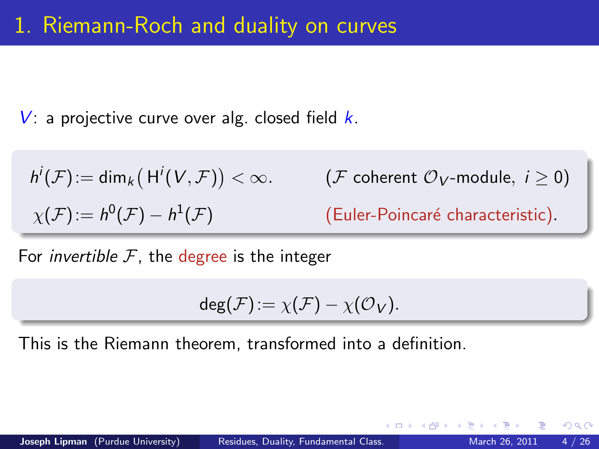$V:$  a projective curve over alg. closed field  $k$ .

$$
h^{i}(\mathcal{F}) := \dim_{k}(\mathrm{H}^{i}(V, \mathcal{F})) < \infty.
$$
 (*F* coherent *O*<sub>V</sub>-module, *i*  $\geq 0$ )  

$$
\chi(\mathcal{F}) := h^{0}(\mathcal{F}) - h^{1}(\mathcal{F})
$$
 (**Euler-Poincaré characteristic**).

For *invertible*  $F$ , the degree is the integer

$$
\deg(\mathcal{F}) := \chi(\mathcal{F}) - \chi(\mathcal{O}_V).
$$

This is the Riemann theorem, transformed into a definition.

<span id="page-3-0"></span> $200$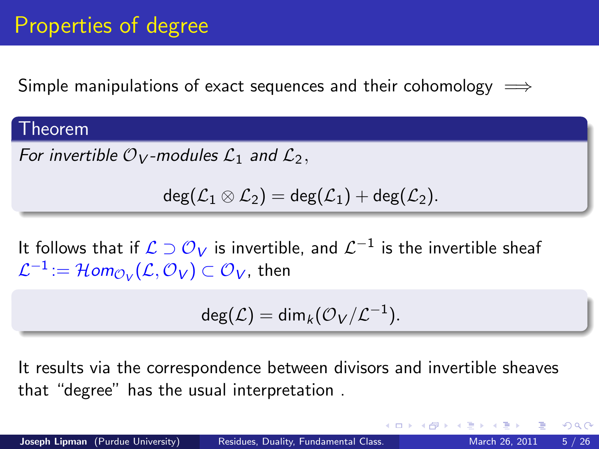Simple manipulations of exact sequences and their cohomology  $\implies$ 

#### Theorem

For invertible  $\mathcal{O}_V$ -modules  $\mathcal{L}_1$  and  $\mathcal{L}_2$ ,

 $deg(\mathcal{L}_1 \otimes \mathcal{L}_2) = deg(\mathcal{L}_1) + deg(\mathcal{L}_2).$ 

It follows that if  $\mathcal{L} \supset \mathcal{O}_V$  is invertible, and  $\mathcal{L}^{-1}$  is the invertible sheaf  $\mathcal{L}^{-1}\!:=\mathcal{H}\mathit{om}_{\mathcal{O}_{\mathcal{V}}}(\mathcal{L},\mathcal{O}_{\mathcal{V}})\subset \mathcal{O}_{\mathcal{V}}$  , then

$$
\deg(\mathcal{L}) = \dim_k(\mathcal{O}_V/\mathcal{L}^{-1}).
$$

It results via the correspondence between divisors and invertible sheaves that "degree" has the usual interpretation .

 $QQ$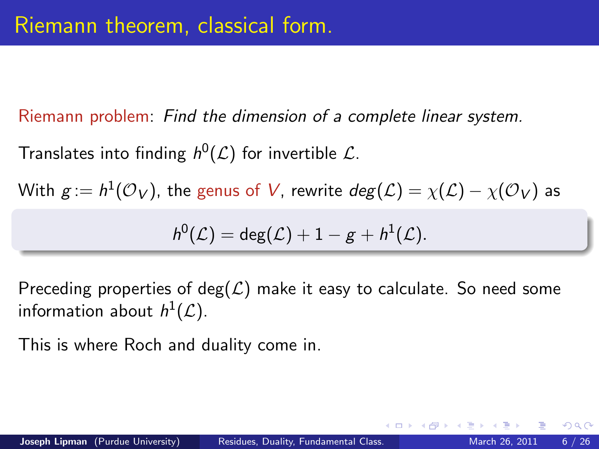Riemann problem: Find the dimension of a complete linear system.

Translates into finding  $h^0(\mathcal{L})$  for invertible  $\mathcal{L}.$ 

With  $g:=h^1({\cal O}_V)$ , the genus of  $V$ , rewrite  $deg({\cal L})=\chi({\cal L})-\chi({\cal O}_V)$  as

$$
h^0(\mathcal{L})=\deg(\mathcal{L})+1-g+h^1(\mathcal{L}).
$$

Preceding properties of deg( $\mathcal{L}$ ) make it easy to calculate. So need some information about  $h^1(\mathcal{L}).$ 

This is where Roch and duality come in.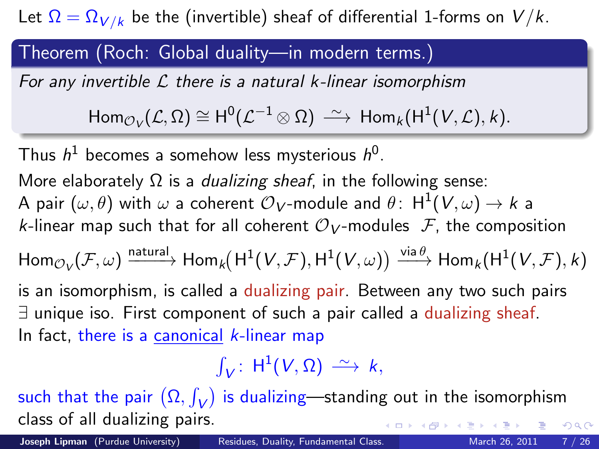Let  $\Omega = \Omega_{V/k}$  be the (invertible) sheaf of differential 1-forms on  $V/k$ .

Theorem (Roch: Global duality—in modern terms.)

For any invertible  $L$  there is a natural k-linear isomorphism

 $\mathsf{Hom}_{\mathcal{O}_V}(\mathcal{L}, \Omega) \cong \mathsf{H}^0(\mathcal{L}^{-1} \otimes \Omega) \; \xrightarrow{\sim} \; \mathsf{Hom}_k(\mathsf{H}^1(V, \mathcal{L}), k).$ 

Thus  $h^1$  becomes a somehow less mysterious  $h^0$ .

More elaborately  $\Omega$  is a *dualizing sheaf*, in the following sense: A pair  $(\omega,\theta)$  with  $\omega$  a coherent  ${\mathcal O}_V$ -module and  $\theta\colon\, \mathsf{H}^1(V,\omega) \to k$  a k-linear map such that for all coherent  $\mathcal{O}_V$ -modules F, the composition

 $\mathsf{Hom}_{\mathcal{O}_V}(\mathcal{F},\omega) \xrightarrow{\text{natural}} \mathsf{Hom}_k\!\! \big(\,\mathsf{H}^1(V,\mathcal{F}),\mathsf{H}^1(V,\omega)\big) \xrightarrow{\text{via }\theta} \mathsf{Hom}_k\!\! \big(\mathsf{H}^1(V,\mathcal{F}),k\big)$ 

is an isomorphism, is called a dualizing pair. Between any two such pairs ∃ unique iso. First component of such a pair called a dualizing sheaf. In fact, there is a canonical  $k$ -linear map

 $\int_V$ : H<sup>1</sup>(V, Ω)  $\longrightarrow$  k,

such that the pair  $(\Omega, \int_{\boldsymbol{V}})$  is dualizing—standing out in the isomorphism class of all dualizing pairs.  $QQ$ イロメ イ母メ イヨメ イヨ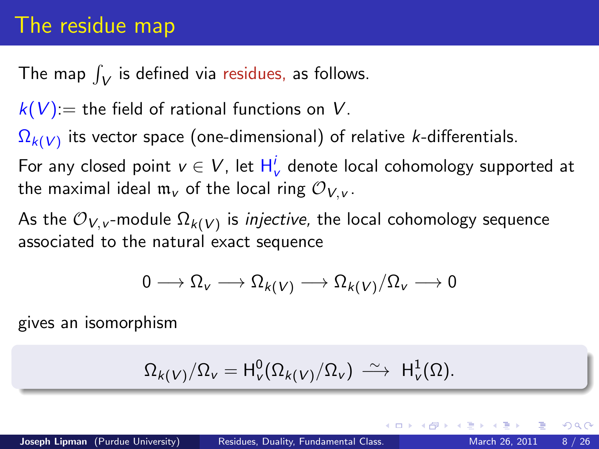# The residue map

The map  $\int_V$  is defined via residues, as follows.

 $k(V)$  = the field of rational functions on V.

 $\Omega_{k(V)}$  its vector space (one-dimensional) of relative  $k$ -differentials.

For any closed point  $v \in V$ , let  $H_v^i$  denote local cohomology supported at the maximal ideal  $m_V$  of the local ring  $\mathcal{O}_{V,V}$ .

As the  ${\mathcal O}_{V, v}$ -module  $\Omega_{k(V)}$  is *injective,* the local cohomology sequence associated to the natural exact sequence

$$
0\longrightarrow \Omega_{\rm v}\longrightarrow \Omega_{k(V)}\longrightarrow \Omega_{k(V)}/\Omega_{\rm v}\longrightarrow 0
$$

gives an isomorphism

$$
\Omega_{k(V)}/\Omega_{v} = \mathrm{H}_{v}^{0}(\Omega_{k(V)}/\Omega_{v}) \longrightarrow \mathrm{H}_{v}^{1}(\Omega).
$$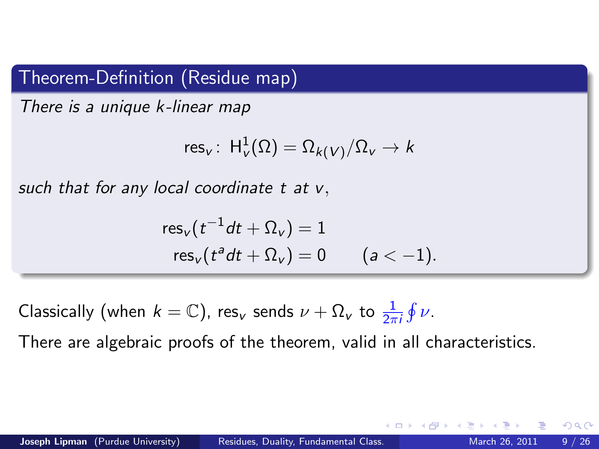### Theorem-Definition (Residue map)

There is a unique k-linear map

$$
\mathsf{res}_v\colon\,\mathsf{H}_v^1(\Omega)=\Omega_{k(V)}/\Omega_v\to k
$$

such that for any local coordinate  $t$  at  $v$ ,

$$
\begin{aligned} \operatorname{res}_{\nu}(t^{-1}dt + \Omega_{\nu}) &= 1\\ \operatorname{res}_{\nu}(t^a dt + \Omega_{\nu}) &= 0 \qquad (a < -1). \end{aligned}
$$

Classically (when  $k = \mathbb{C}$ ), res<sub>v</sub> sends  $\nu + \Omega_{\nu}$  to  $\frac{1}{2\pi i} \oint \nu$ .

There are algebraic proofs of the theorem, valid in all characteristics.

 $200$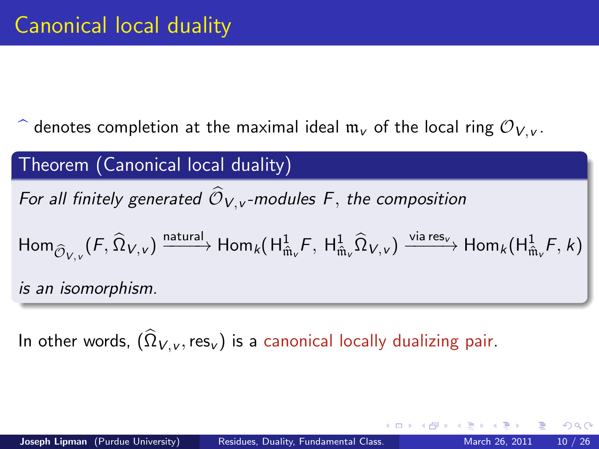$\hat{ }$  denotes completion at the maximal ideal  $\mathfrak{m}_{v}$  of the local ring  $\mathcal{O}_{V, v}$ .

## Theorem (Canonical local duality)

For all finitely generated  $\widehat{\mathcal{O}}_{V,v}$ -modules F, the composition

$$
\text{Hom}_{\widehat{\mathcal{O}}_{V,v}}(F,\widehat{\Omega}_{V,v})\xrightarrow{\text{natural}} \text{Hom}_{k}(H_{\hat{\mathfrak{m}}_{v}}^{1}F,\ H_{\hat{\mathfrak{m}}_{v}}^{1}\widehat{\Omega}_{V,v})\xrightarrow{\text{via} \text{res}_{v}} \text{Hom}_{k}(H_{\hat{\mathfrak{m}}_{v}}^{1}F,k)
$$

is an isomorphism.

In other words,  $(\Omega_{V,v},\mathsf{res}_v)$  is a canonical locally dualizing pair.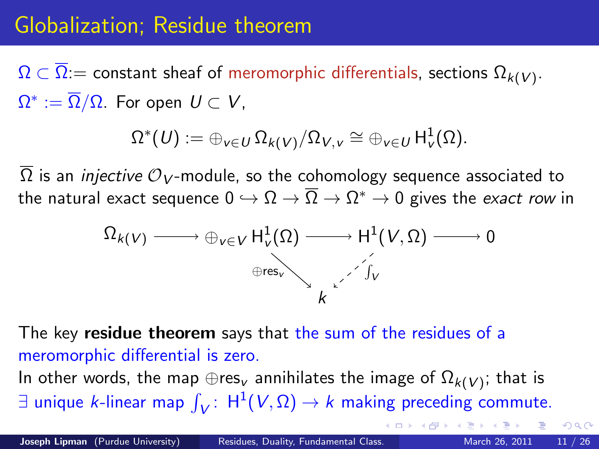## Globalization; Residue theorem

 $\Omega \subset \Omega$   $=$  constant sheaf of meromorphic differentials, sections  $\Omega_{k(V)}.$  $\Omega^*:=\overline{\Omega}/\Omega.$  For open  $\mathit{U}\subset\mathit{V}$  ,

$$
\Omega^*(U):=\oplus_{v\in U}\,\Omega_{k(V)}/\Omega_{V,v}\cong \oplus_{v\in U}\,\mathsf{H}^1_v(\Omega).
$$

 $\Omega$  is an *injective O<sub>V</sub>*-module, so the cohomology sequence associated to the natural exact sequence  $0\hookrightarrow \Omega \to \overline{\Omega} \to \Omega^* \to 0$  gives the *exact row* in



The key **residue theorem** says that the sum of the residues of a meromorphic differential is zero.

In other words, the map  $\oplus$ res $_{\mathsf{v}}$  annihilates the image of  $\Omega_{k(\mathsf{V})}$ ; that is  $\exists$  unique *k*-linear map  $\int_{\mathcal{V}} \colon \mathsf{H}^1(V,\Omega) \to k$  making preceding commute.

 $200$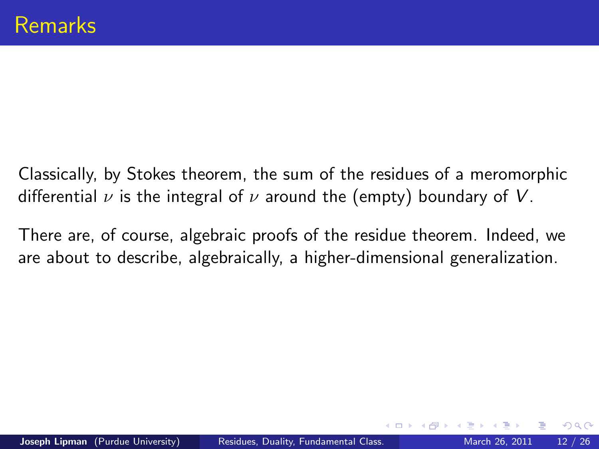Classically, by Stokes theorem, the sum of the residues of a meromorphic differential  $\nu$  is the integral of  $\nu$  around the (empty) boundary of V.

There are, of course, algebraic proofs of the residue theorem. Indeed, we are about to describe, algebraically, a higher-dimensional generalization.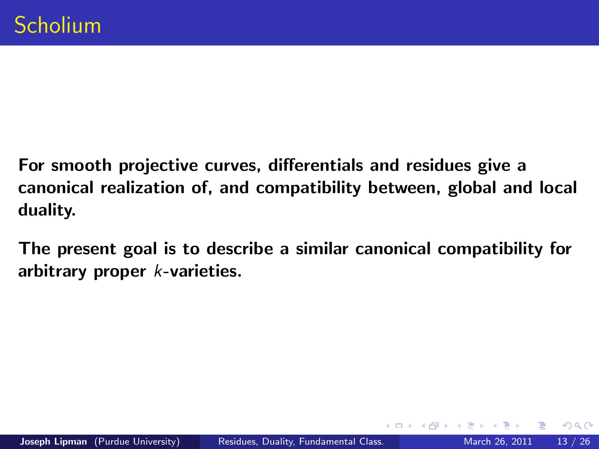- For smooth projective curves, differentials and residues give a canonical realization of, and compatibility between, global and local duality.
- <span id="page-12-0"></span>The present goal is to describe a similar canonical compatibility for arbitrary proper k-varieties.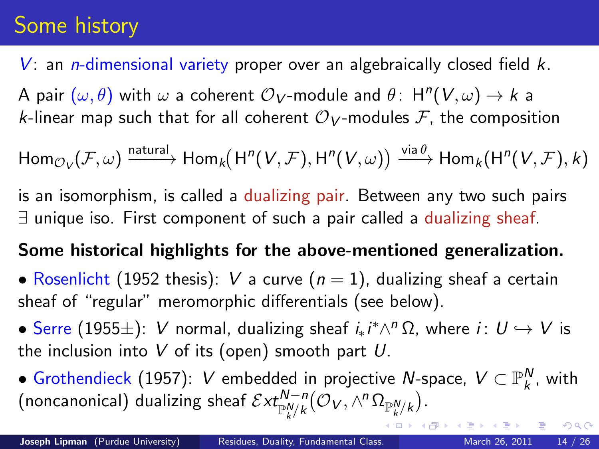# Some history

V: an *n*-dimensional variety proper over an algebraically closed field  $k$ .

A pair  $(\omega,\theta)$  with  $\omega$  a coherent  ${\mathcal O}_V$ -module and  $\theta\colon\, \mathsf{H}^n(V,\omega) \to k$  a k-linear map such that for all coherent  $\mathcal{O}_V$ -modules F, the composition

 $\mathsf{Hom}_{\mathcal{O}_V}(\mathcal{F},\omega) \xrightarrow{\mathsf{natural}} \mathsf{Hom}_k\!\! \left(\mathsf{H}^{\mathsf{\scriptscriptstyle{N}}}(V,\mathcal{F}),\mathsf{H}^{\mathsf{\scriptscriptstyle{N}}}(V,\omega)\right) \xrightarrow{\mathsf{via}\, \theta} \mathsf{Hom}_k\!\! \left(\mathsf{H}^{\mathsf{\scriptscriptstyle{N}}}(V,\mathcal{F}),k\right)$ 

is an isomorphism, is called a dualizing pair. Between any two such pairs ∃ unique iso. First component of such a pair called a dualizing sheaf.

### Some historical highlights for the above-mentioned generalization.

• Rosenlicht (1952 thesis): V a curve  $(n = 1)$ , dualizing sheaf a certain sheaf of "regular" meromorphic differentials (see below).

• Serre (1955 $\pm$ ): V normal, dualizing sheaf  $i_*i^*\wedge^n\Omega$ , where  $i\colon\thinspace U\hookrightarrow V$  is the inclusion into  $V$  of its (open) smooth part  $U$ .

• Grothendieck (1957):  $V$  embedded in projective  $N$ -space,  $V \subset \mathbb{P}^N_k$ , with (noncanonical) dualizing sheaf  $\mathcal{E}xt^{N-n}_{\mathbb{P}^N_{k}/k}({\cal O}_V,\wedge^n\Omega_{\mathbb{P}^N_{k}/k}).$  $\mathcal{E}xt^{N-n}_{\mathbb{P}^N_{k}/k}({\cal O}_V,\wedge^n\Omega_{\mathbb{P}^N_{k}/k}).$  $\mathcal{E}xt^{N-n}_{\mathbb{P}^N_{k}/k}({\cal O}_V,\wedge^n\Omega_{\mathbb{P}^N_{k}/k}).$ 

<span id="page-13-0"></span> $QQQ$ 

◆ 御 \* \* 重 \* \* 重 \* ~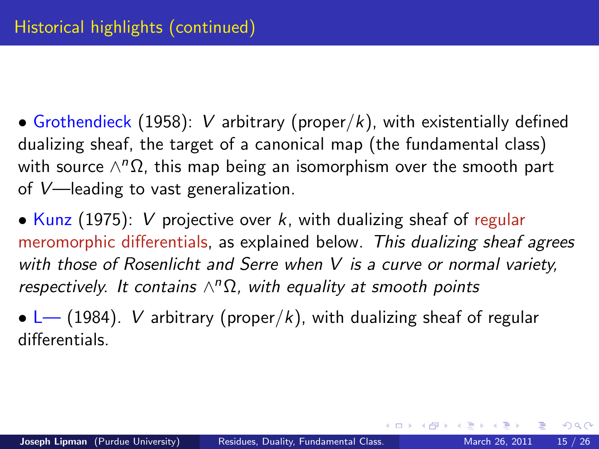- Grothendieck (1958): V arbitrary (proper/k), with existentially defined dualizing sheaf, the target of a canonical map (the fundamental class) with source  $\wedge^n \Omega$ , this map being an isomorphism over the smooth part of V—leading to vast generalization.
- Kunz (1975): V projective over k, with dualizing sheaf of regular meromorphic differentials, as explained below. This dualizing sheaf agrees with those of Rosenlicht and Serre when V is a curve or normal variety, respectively. It contains  $\wedge^n \Omega$ , with equality at smooth points
- $L$  (1984). *V* arbitrary (proper/k), with dualizing sheaf of regular differentials.

 $QQ$ 

イロト イ押ト イヨト イヨト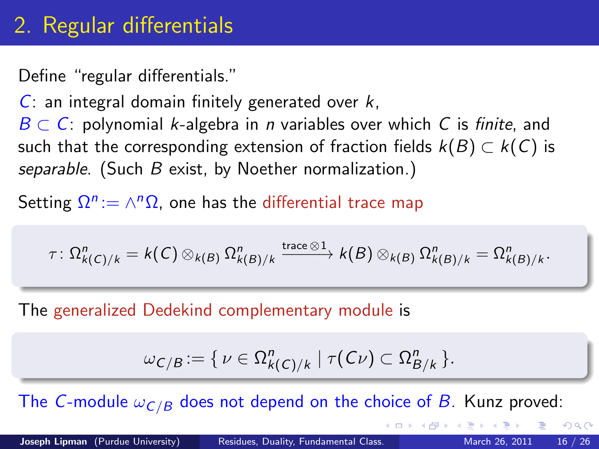Define "regular differentials."

 $C:$  an integral domain finitely generated over  $k$ ,

 $B \subset C$ : polynomial k-algebra in *n* variables over which C is finite, and such that the corresponding extension of fraction fields  $k(B) \subset k(C)$  is separable. (Such B exist, by Noether normalization.)

Setting  $\Omega^n\!:=\wedge^n\overline{\Omega}$ , one has the differential trace map

$$
\tau\colon \Omega_{k(C)/k}^n = k(C) \otimes_{k(B)} \Omega_{k(B)/k}^n \xrightarrow{\text{trace} \otimes 1} k(B) \otimes_{k(B)} \Omega_{k(B)/k}^n = \Omega_{k(B)/k}^n.
$$

The generalized Dedekind complementary module is

$$
\omega_{\mathcal{C}/\mathcal{B}} := \{ \nu \in \Omega^n_{k(\mathcal{C})/k} \mid \tau(\mathcal{C}\nu) \subset \Omega^n_{\mathcal{B}/k} \}.
$$

The C-module  $\omega_{C/B}$  does not depend on the choice of B. Kunz proved: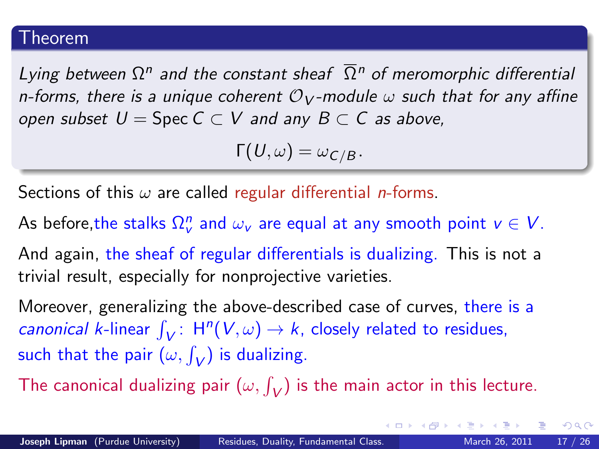#### Theorem

Lying between  $\Omega^n$  and the constant sheaf  $\,\overline{\Omega}{}^n$  of meromorphic differential n-forms, there is a unique coherent  $\mathcal{O}_V$ -module  $\omega$  such that for any affine open subset  $U = \text{Spec } C \subset V$  and any  $B \subset C$  as above,

$$
\Gamma(U,\omega)=\omega_{C/B}.
$$

Sections of this  $\omega$  are called regular differential *n*-forms.

As before,the stalks  $\Omega_{\rm v}^n$  and  $\omega_{\rm v}$  are equal at any smooth point  ${\rm v}\in{\rm V}.$ 

And again, the sheaf of regular differentials is dualizing. This is not a trivial result, especially for nonprojective varieties.

Moreover, generalizing the above-described case of curves, there is a *canonical k*-linear  $\int_V: H^n(V, \omega) \to k$ , closely related to residues, such that the pair  $(\omega, \int_V)$  is dualizing.

The canonical dualizing pair  $(\omega, \int_V)$  is the main actor in this lecture.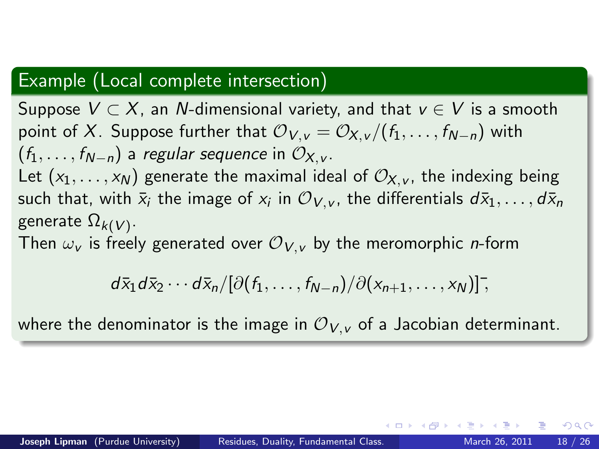### Example (Local complete intersection)

Suppose  $V \subset X$ , an N-dimensional variety, and that  $v \in V$  is a smooth point of X. Suppose further that  $\mathcal{O}_{V,v} = \mathcal{O}_{X,v}/(f_1,\ldots,f_{N-n})$  with  $(f_1, \ldots, f_{N-n})$  a regular sequence in  $\mathcal{O}_{X}$  . Let  $(x_1, \ldots, x_N)$  generate the maximal ideal of  $\mathcal{O}_{X, v}$ , the indexing being such that, with  $\bar{\mathsf{x}}_i$  the image of  $\mathsf{x}_i$  in  $\mathcal{O}_{\mathsf{V},\mathsf{v}}$ , the differentials  $d\bar{\mathsf{x}}_1,\ldots,d\bar{\mathsf{x}}_n$ generate  $\Omega_{k(V)}.$ 

Then  $\omega_{v}$  is freely generated over  $\mathcal{O}_{V, v}$  by the meromorphic *n*-form

$$
d\bar{x}_1 d\bar{x}_2 \cdots d\bar{x}_n/[\partial(f_1,\ldots,f_{N-n})/\partial(x_{n+1},\ldots,x_N)]^T
$$

where the denominator is the image in  $\mathcal{O}_{V,V}$  of a Jacobian determinant.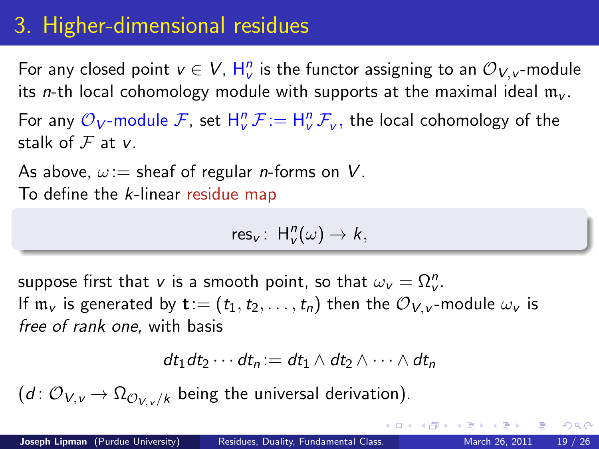# 3. Higher-dimensional residues

For any closed point  $v\in V$ ,  $\mathsf{H}^n_{v}$  is the functor assigning to an  ${\mathcal{O}}_{V,v}$ -module its *n*-th local cohomology module with supports at the maximal ideal  $m_v$ .

For any  $\mathcal{O}_V$ -module  $\mathcal{F}$ , set  $H^n_v \mathcal{F} := H^n_v \mathcal{F}_v$ , the local cohomology of the stalk of  $F$  at v.

As above,  $\omega$ : = sheaf of regular *n*-forms on V. To define the k-linear residue map

 $res_v: H_v^n(\omega) \to k$ ,

suppose first that  $v$  is a smooth point, so that  $\omega_v = \Omega_v^n$ . If  $m_v$  is generated by  $\mathbf{t} := (t_1, t_2, \dots, t_n)$  then the  $\mathcal{O}_{V, v}$ -module  $\omega_v$  is free of rank one, with basis

$$
dt_1dt_2\cdots dt_n:=dt_1\wedge dt_2\wedge\cdots\wedge dt_n
$$

 $(d: \mathcal{O}_{V, v} \rightarrow \Omega_{\mathcal{O}_{V, v}/k}$  being the universal derivation).

<span id="page-18-0"></span> $200$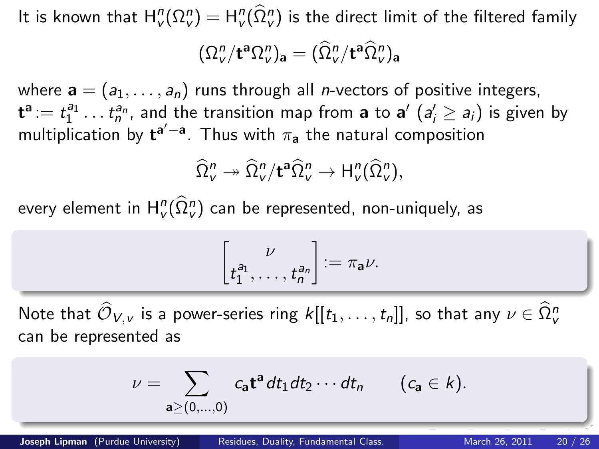It is known that  $H^n_\nu(\Omega^n_\nu)=H^n_\nu(\Omega^n_\nu)$  is the direct limit of the filtered family

$$
(\Omega_{\nu}^{\prime\prime}/\mathbf{t}^{\mathbf{a}}\Omega_{\nu}^{\prime\prime})_{\mathbf{a}}=(\widehat{\Omega}_{\nu}^{\prime\prime}/\mathbf{t}^{\mathbf{a}}\widehat{\Omega}_{\nu}^{\prime\prime})_{\mathbf{a}}
$$

where  $\mathbf{a} = (a_1, \ldots, a_n)$  runs through all *n*-vectors of positive integers,  $\mathbf{t}^{\mathbf{a}}:=t_1^{a_1}\ldots t_n^{a_n}$ , and the transition map from  $\mathbf{a}$  to  $\mathbf{a}'$   $(a'_i\geq a_i)$  is given by 1 multiplication by  $\mathbf{t}^{\mathsf{a}'-\mathsf{a}}$ . Thus with  $\pi_{\mathsf{a}}$  the natural composition

$$
\widehat{\Omega}^n_{\nu} \twoheadrightarrow \widehat{\Omega}^n_{\nu}/\mathbf{t}^{\mathbf{a}} \widehat{\Omega}^n_{\nu} \rightarrow H^n_{\nu}(\widehat{\Omega}^n_{\nu}),
$$

every element in  $\mathsf{H}^n_\mathsf{v}(\widehat{\Omega}^n_\mathsf{v})$  can be represented, non-uniquely, as

$$
\begin{bmatrix} \nu \\ t_1^{a_1},\ldots,t_n^{a_n} \end{bmatrix} := \pi_{\mathbf{a}}\nu.
$$

Note that  $\widehat{\mathcal{O}}_{V, v}$  is a power-series ring  $k[[t_1, \ldots, t_n]],$  so that any  $\nu \in \widehat{\Omega}_v^n$ can be represented as

$$
\nu=\sum_{\mathbf{a}\geq (0,\ldots,0)} c_{\mathbf{a}}\mathbf{t}^{\mathbf{a}} dt_1 dt_2\cdots dt_n \qquad (c_{\mathbf{a}}\in k).
$$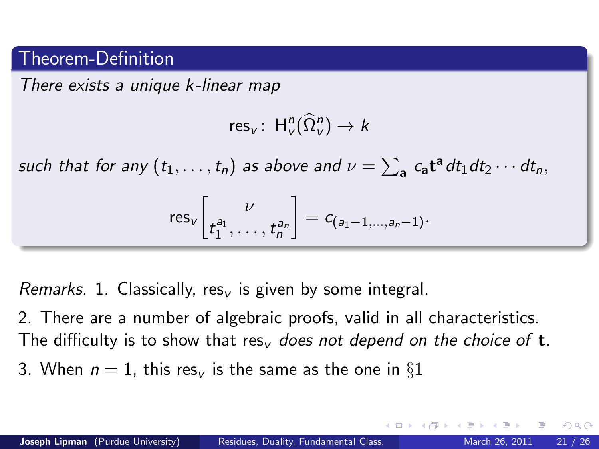### Theorem-Definition

There exists a unique k-linear map

$$
\operatorname{res}_v: H^n_v(\widehat{\Omega}^n_v) \to k
$$

such that for any  $(t_1,\ldots,t_n)$  as above and  $\nu=\sum_{\bf a}\,c_{\bf a}{\bf t}^{\bf a}\,dt_1dt_2\cdots dt_n,$ 

$$
\text{res}_{v}\left[\frac{\nu}{t_1^{a_1},\ldots,t_n^{a_n}}\right]=c_{(a_1-1,\ldots,a_n-1)}.
$$

Remarks. 1. Classically, res<sub>v</sub> is given by some integral.

2. There are a number of algebraic proofs, valid in all characteristics. The difficulty is to show that res<sub>v</sub> does not depend on the choice of **t**.

3. When  $n = 1$ , this res<sub>v</sub> is the same as the one in §1

つへへ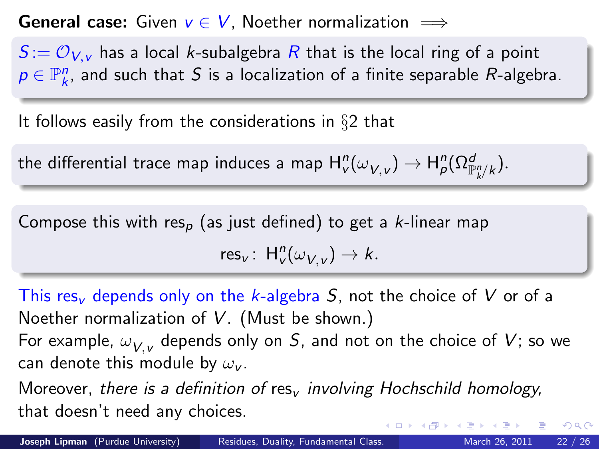**General case:** Given  $v \in V$ . Noether normalization  $\implies$ 

 $S = \mathcal{O}_{V,v}$  has a local *k*-subalgebra R that is the local ring of a point  $p \in \mathbb{P}^n_k$ , and such that  $S$  is a localization of a finite separable  $R$ -algebra.

It follows easily from the considerations in §2 that

the differential trace map induces a map  $\mathsf{H}^n_\mathsf{v}(\omega_{\mathsf{V},\mathsf{v}}) \to \mathsf{H}^n_\mathsf{p}(\Omega^d_{\mathbb{P}^n_{\mathsf{k}}/\mathsf{k}}).$ 

Compose this with res<sub>p</sub> (as just defined) to get a *k*-linear map  $res_v: H^n_v(\omega_{V,v}) \to k.$ 

This res<sub>v</sub> depends only on the k-algebra S, not the choice of V or of a Noether normalization of V. (Must be shown.) For example,  $\omega_{V,v}$  depends only on  $S$ , and not on the choice of  $V$ ; so we can denote this module by  $\omega_{v}$ .

Moreover, there is a definition of res<sub>v</sub> involving Hochschild homology, that doesn't need any choices.

 $QQ$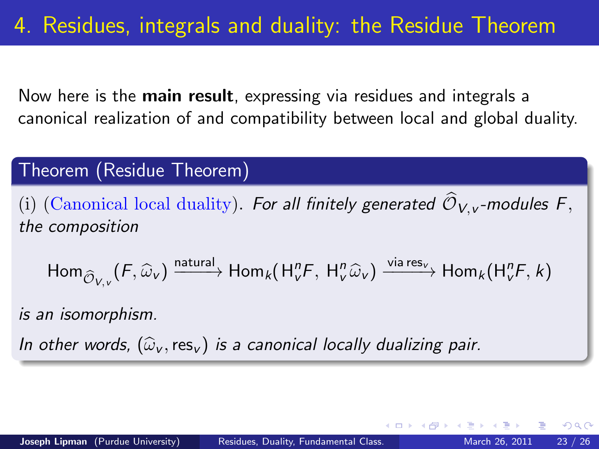Now here is the **main result**, expressing via residues and integrals a canonical realization of and compatibility between local and global duality.

### Theorem (Residue Theorem)

(i) (Canonical local duality). For all finitely generated  $\hat{\mathcal{O}}_{V,V}$ -modules F, the composition

<span id="page-22-0"></span>
$$
\text{Hom}_{\widehat{\mathcal{O}}_{V,v}}(F, \widehat{\omega}_{v}) \xrightarrow{\text{natural}} \text{Hom}_{k}(H_{v}^{n}F, H_{v}^{n} \widehat{\omega}_{v}) \xrightarrow{\text{via res}_{v}} \text{Hom}_{k}(H_{v}^{n}F, k)
$$

is an isomorphism.

In other words,  $(\widehat{\omega}_v, \text{res}_v)$  is a canonical locally dualizing pair.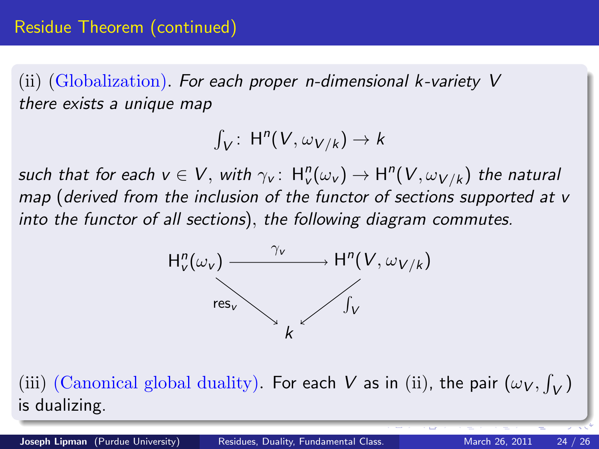(ii)  $(GIobalization)$ . For each proper n-dimensional k-variety V there exists a unique map

 $\int_V$ : H<sup>n</sup>(V,  $\omega_{V/k}$ )  $\rightarrow$  k

such that for each  $\mathsf{v}\in\mathsf{V},$  with  $\gamma_\mathsf{v}\colon\mathsf{H}^n_\mathsf{v}(\omega_\mathsf{v})\to \mathsf{H}^n(\mathsf{V},\omega_{\mathsf{V}/k})$  the natural map (derived from the inclusion of the functor of sections supported at v into the functor of all sections), the following diagram commutes.



(iii) (Canonical global duality). For each V as in (ii), the pair  $(\omega_V, \int_V)$ is dualizing.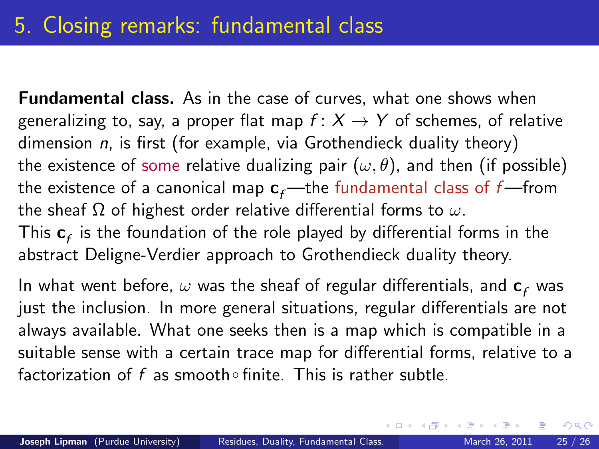Fundamental class. As in the case of curves, what one shows when generalizing to, say, a proper flat map  $f: X \rightarrow Y$  of schemes, of relative dimension n, is first (for example, via Grothendieck duality theory) the existence of some relative dualizing pair  $(\omega, \theta)$ , and then (if possible) the existence of a canonical map  $c_f$ —the fundamental class of f —from the sheaf  $\Omega$  of highest order relative differential forms to  $\omega$ .

This  $\mathsf{c}_\mathsf{f}$  is the foundation of the role played by differential forms in the abstract Deligne-Verdier approach to Grothendieck duality theory.

<span id="page-24-0"></span>In what went before,  $\omega$  was the sheaf of regular differentials, and  $c_f$  was just the inclusion. In more general situations, regular differentials are not always available. What one seeks then is a map which is compatible in a suitable sense with a certain trace map for differential forms, relative to a factorization of f as smooth $\circ$  finite. This is rather subtle.